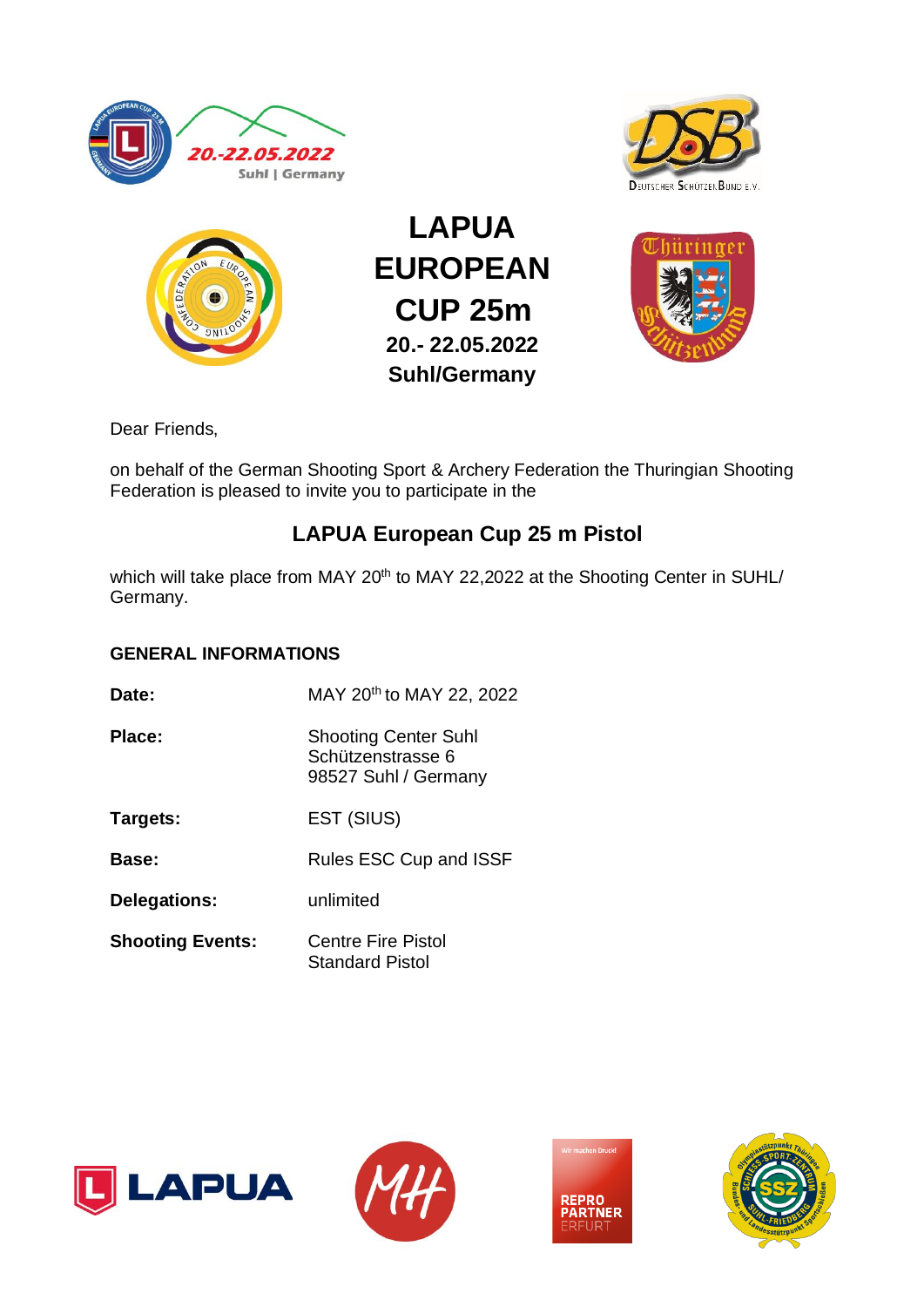





**LAPUA EUROPEAN CUP 25m 20.- 22.05.2022 Suhl/Germany**



Dear Friends,

on behalf of the German Shooting Sport & Archery Federation the Thuringian Shooting Federation is pleased to invite you to participate in the

# **LAPUA European Cup 25 m Pistol**

which will take place from MAY 20<sup>th</sup> to MAY 22,2022 at the Shooting Center in SUHL/ Germany.

## **GENERAL INFORMATIONS**

- **Date:** MAY 20<sup>th</sup> to MAY 22, 2022
- **Place:** Shooting Center Suhl Schützenstrasse 6 98527 Suhl / Germany
- **Targets:** EST (SIUS)
- **Base:** Rules ESC Cup and ISSF
- **Delegations:** unlimited
- **Shooting Events:** Centre Fire Pistol Standard Pistol







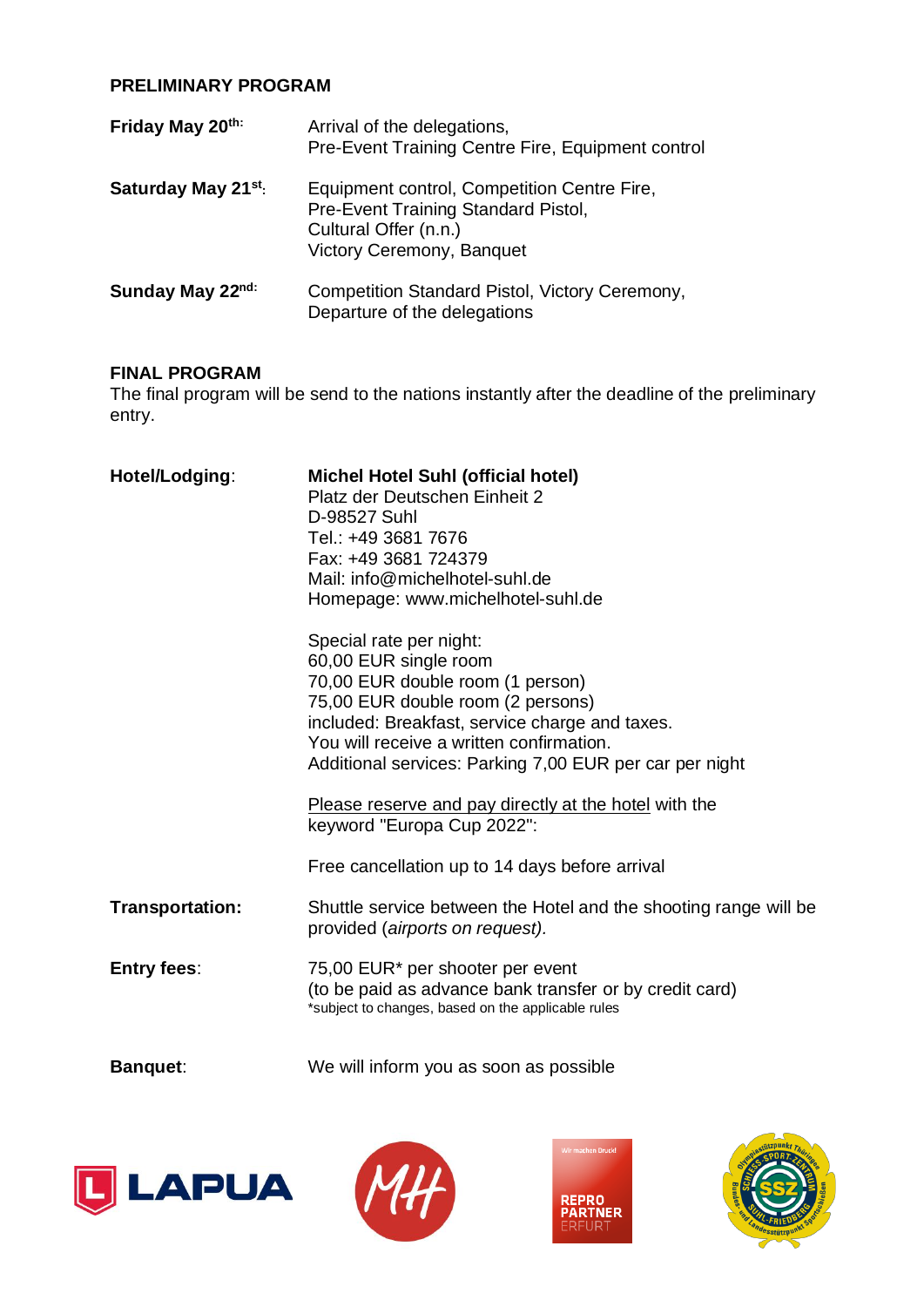### **PRELIMINARY PROGRAM**

| Friday May 20th:                | Arrival of the delegations,<br>Pre-Event Training Centre Fire, Equipment control                                                         |  |
|---------------------------------|------------------------------------------------------------------------------------------------------------------------------------------|--|
| Saturday May 21 <sup>st</sup> : | Equipment control, Competition Centre Fire,<br>Pre-Event Training Standard Pistol,<br>Cultural Offer (n.n.)<br>Victory Ceremony, Banquet |  |
| Sunday May 22nd:                | Competition Standard Pistol, Victory Ceremony,<br>Departure of the delegations                                                           |  |

#### **FINAL PROGRAM**

The final program will be send to the nations instantly after the deadline of the preliminary entry.

| Hotel/Lodging:     | <b>Michel Hotel Suhl (official hotel)</b><br>Platz der Deutschen Einheit 2<br>D-98527 Suhl<br>Tel.: +49 3681 7676<br>Fax: +49 3681 724379<br>Mail: info@michelhotel-suhl.de<br>Homepage: www.michelhotel-suhl.de<br>Special rate per night:<br>60,00 EUR single room<br>70,00 EUR double room (1 person)<br>75,00 EUR double room (2 persons)<br>included: Breakfast, service charge and taxes.<br>You will receive a written confirmation.<br>Additional services: Parking 7,00 EUR per car per night<br>Please reserve and pay directly at the hotel with the<br>keyword "Europa Cup 2022":<br>Free cancellation up to 14 days before arrival |
|--------------------|-------------------------------------------------------------------------------------------------------------------------------------------------------------------------------------------------------------------------------------------------------------------------------------------------------------------------------------------------------------------------------------------------------------------------------------------------------------------------------------------------------------------------------------------------------------------------------------------------------------------------------------------------|
| Transportation:    | Shuttle service between the Hotel and the shooting range will be<br>provided (airports on request).                                                                                                                                                                                                                                                                                                                                                                                                                                                                                                                                             |
| <b>Entry fees:</b> | 75,00 EUR* per shooter per event<br>(to be paid as advance bank transfer or by credit card)<br>*subject to changes, based on the applicable rules                                                                                                                                                                                                                                                                                                                                                                                                                                                                                               |
| <b>Banquet:</b>    | We will inform you as soon as possible                                                                                                                                                                                                                                                                                                                                                                                                                                                                                                                                                                                                          |







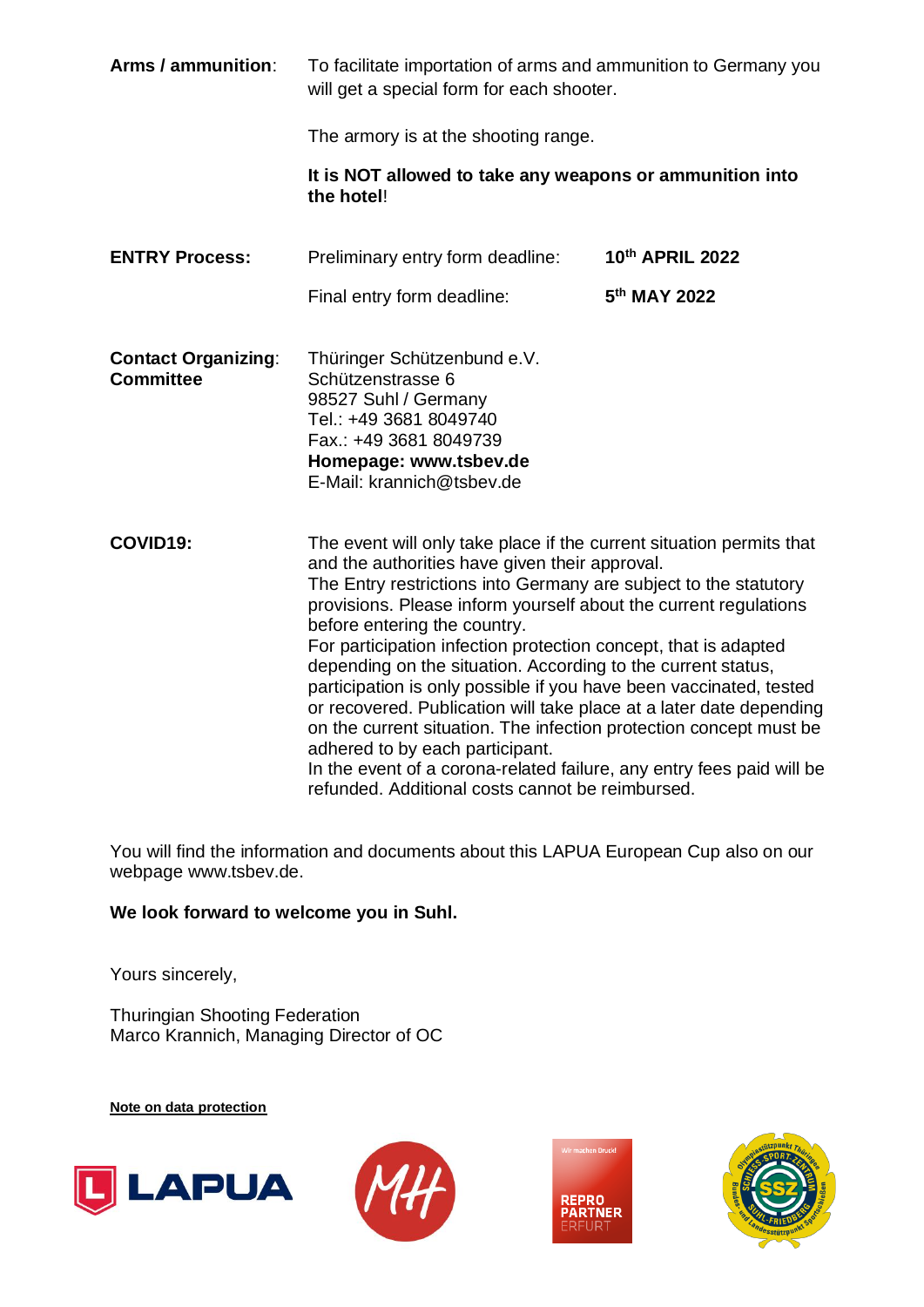| Arms / ammunition:                             | To facilitate importation of arms and ammunition to Germany you<br>will get a special form for each shooter.                                                                                                                                                                                                                                                                                                                                                                                                                                                                                                                                                                                                                                                                                                         |                          |  |
|------------------------------------------------|----------------------------------------------------------------------------------------------------------------------------------------------------------------------------------------------------------------------------------------------------------------------------------------------------------------------------------------------------------------------------------------------------------------------------------------------------------------------------------------------------------------------------------------------------------------------------------------------------------------------------------------------------------------------------------------------------------------------------------------------------------------------------------------------------------------------|--------------------------|--|
|                                                | The armory is at the shooting range.                                                                                                                                                                                                                                                                                                                                                                                                                                                                                                                                                                                                                                                                                                                                                                                 |                          |  |
|                                                | It is NOT allowed to take any weapons or ammunition into<br>the hotel!                                                                                                                                                                                                                                                                                                                                                                                                                                                                                                                                                                                                                                                                                                                                               |                          |  |
| <b>ENTRY Process:</b>                          | Preliminary entry form deadline:                                                                                                                                                                                                                                                                                                                                                                                                                                                                                                                                                                                                                                                                                                                                                                                     | 10th APRIL 2022          |  |
|                                                | Final entry form deadline:                                                                                                                                                                                                                                                                                                                                                                                                                                                                                                                                                                                                                                                                                                                                                                                           | 5 <sup>th</sup> MAY 2022 |  |
| <b>Contact Organizing:</b><br><b>Committee</b> | Thüringer Schützenbund e.V.<br>Schützenstrasse 6<br>98527 Suhl / Germany<br>Tel.: +49 3681 8049740<br>Fax.: +49 3681 8049739<br>Homepage: www.tsbev.de<br>E-Mail: krannich@tsbev.de                                                                                                                                                                                                                                                                                                                                                                                                                                                                                                                                                                                                                                  |                          |  |
| COVID19:                                       | The event will only take place if the current situation permits that<br>and the authorities have given their approval.<br>The Entry restrictions into Germany are subject to the statutory<br>provisions. Please inform yourself about the current regulations<br>before entering the country.<br>For participation infection protection concept, that is adapted<br>depending on the situation. According to the current status,<br>participation is only possible if you have been vaccinated, tested<br>or recovered. Publication will take place at a later date depending<br>on the current situation. The infection protection concept must be<br>adhered to by each participant.<br>In the event of a corona-related failure, any entry fees paid will be<br>refunded. Additional costs cannot be reimbursed. |                          |  |

You will find the information and documents about this LAPUA European Cup also on our webpage www.tsbev.de.

## **We look forward to welcome you in Suhl.**

Yours sincerely,

Thuringian Shooting Federation Marco Krannich, Managing Director of OC

**Note on data protection**